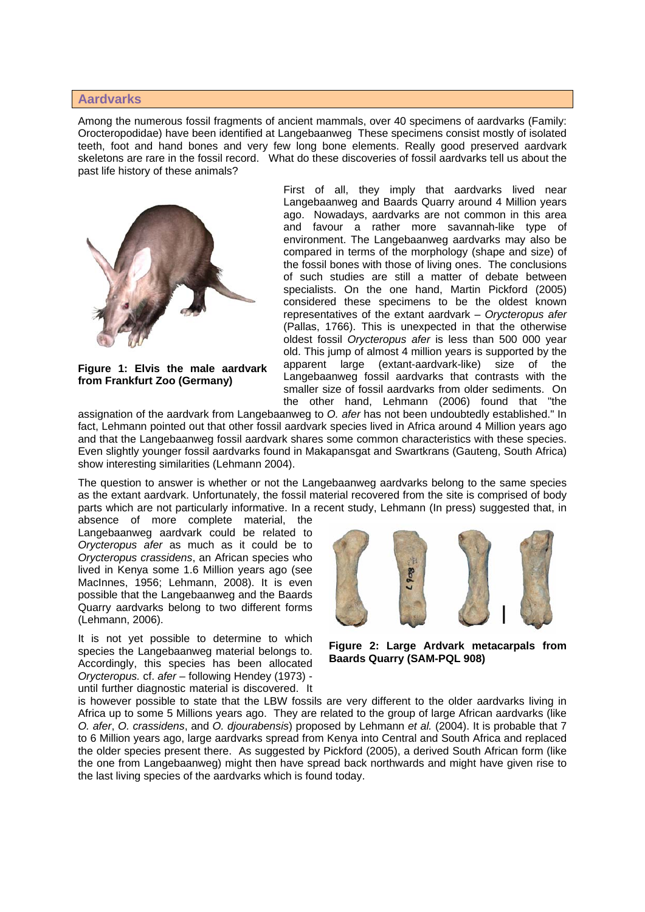## **Aardvarks**

Among the numerous fossil fragments of ancient mammals, over 40 specimens of aardvarks (Family: Orocteropodidae) have been identified at Langebaanweg These specimens consist mostly of isolated teeth, foot and hand bones and very few long bone elements. Really good preserved aardvark skeletons are rare in the fossil record. What do these discoveries of fossil aardvarks tell us about the past life history of these animals?



**Figure 1: Elvis the male aardvark from Frankfurt Zoo (Germany)** 

First of all, they imply that aardvarks lived near Langebaanweg and Baards Quarry around 4 Million years ago. Nowadays, aardvarks are not common in this area and favour a rather more savannah-like type of environment. The Langebaanweg aardvarks may also be compared in terms of the morphology (shape and size) of the fossil bones with those of living ones. The conclusions of such studies are still a matter of debate between specialists. On the one hand, Martin Pickford (2005) considered these specimens to be the oldest known representatives of the extant aardvark – *Orycteropus afer* (Pallas, 1766). This is unexpected in that the otherwise oldest fossil *Orycteropus afer* is less than 500 000 year old. This jump of almost 4 million years is supported by the apparent large (extant-aardvark-like) size of the Langebaanweg fossil aardvarks that contrasts with the smaller size of fossil aardvarks from older sediments. On the other hand, Lehmann (2006) found that "the

assignation of the aardvark from Langebaanweg to *O. afer* has not been undoubtedly established." In fact, Lehmann pointed out that other fossil aardvark species lived in Africa around 4 Million years ago and that the Langebaanweg fossil aardvark shares some common characteristics with these species. Even slightly younger fossil aardvarks found in Makapansgat and Swartkrans (Gauteng, South Africa) show interesting similarities (Lehmann 2004).

The question to answer is whether or not the Langebaanweg aardvarks belong to the same species as the extant aardvark. Unfortunately, the fossil material recovered from the site is comprised of body parts which are not particularly informative. In a recent study, Lehmann (In press) suggested that, in

absence of more complete material, the Langebaanweg aardvark could be related to *Orycteropus afer* as much as it could be to *Orycteropus crassidens*, an African species who lived in Kenya some 1.6 Million years ago (see MacInnes, 1956; Lehmann, 2008). It is even possible that the Langebaanweg and the Baards Quarry aardvarks belong to two different forms (Lehmann, 2006).

It is not yet possible to determine to which species the Langebaanweg material belongs to. Accordingly, this species has been allocated *Orycteropus.* cf. *afer* – following Hendey (1973) until further diagnostic material is discovered. It



**Figure 2: Large Ardvark metacarpals from Baards Quarry (SAM-PQL 908)** 

is however possible to state that the LBW fossils are very different to the older aardvarks living in Africa up to some 5 Millions years ago. They are related to the group of large African aardvarks (like *O. afer*, *O. crassidens*, and *O. djourabensis*) proposed by Lehmann *et al.* (2004). It is probable that 7 to 6 Million years ago, large aardvarks spread from Kenya into Central and South Africa and replaced the older species present there. As suggested by Pickford (2005), a derived South African form (like the one from Langebaanweg) might then have spread back northwards and might have given rise to the last living species of the aardvarks which is found today.